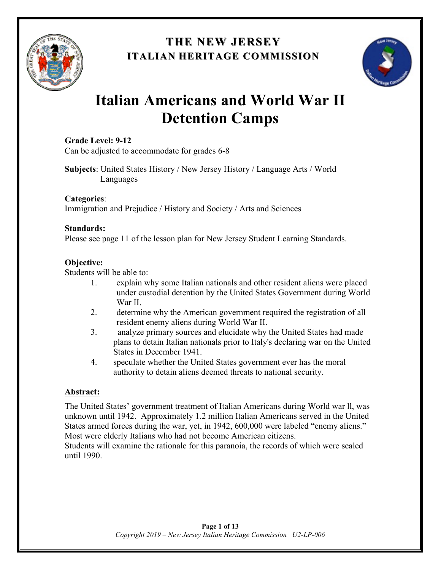

## **THE NEW JERSEY THE NEW JERSEY ITALIAN HERITAGE COMMISSION**



# **Italian Americans and World War II Detention Camps**

#### **Grade Level: 9-12**

Can be adjusted to accommodate for grades 6-8

**Subjects**: United States History / New Jersey History / Language Arts / World Languages

**Categories**: Immigration and Prejudice / History and Society / Arts and Sciences

#### **Standards:**

Please see page 11 of the lesson plan for New Jersey Student Learning Standards.

#### **Objective:**

Students will be able to:

- 1. explain why some Italian nationals and other resident aliens were placed under custodial detention by the United States Government during World War II.
- 2. determine why the American government required the registration of all resident enemy aliens during World War II.
- 3. analyze primary sources and elucidate why the United States had made plans to detain Italian nationals prior to Italy's declaring war on the United States in December 1941.
- 4. speculate whether the United States government ever has the moral authority to detain aliens deemed threats to national security.

#### **Abstract:**

The United States' government treatment of Italian Americans during World war ll, was unknown until 1942. Approximately 1.2 million Italian Americans served in the United States armed forces during the war, yet, in 1942, 600,000 were labeled "enemy aliens." Most were elderly Italians who had not become American citizens.

Students will examine the rationale for this paranoia, the records of which were sealed until 1990.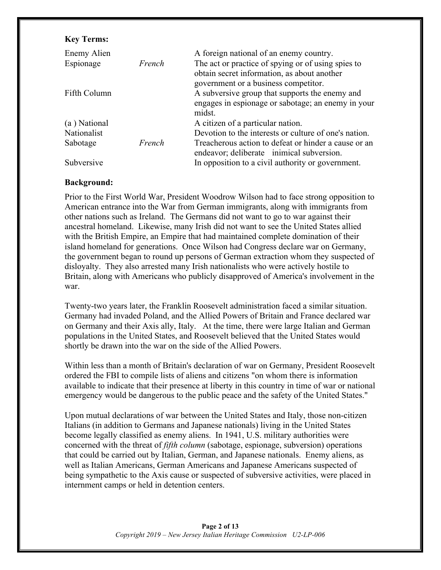| <b>Key Terms:</b> |        |                                                                                                   |
|-------------------|--------|---------------------------------------------------------------------------------------------------|
| Enemy Alien       |        | A foreign national of an enemy country.                                                           |
| Espionage         | French | The act or practice of spying or of using spies to<br>obtain secret information, as about another |
|                   |        | government or a business competitor.                                                              |
| Fifth Column      |        | A subversive group that supports the enemy and                                                    |
|                   |        | engages in espionage or sabotage; an enemy in your<br>midst.                                      |
| (a) National      |        | A citizen of a particular nation.                                                                 |
| Nationalist       |        | Devotion to the interests or culture of one's nation.                                             |
| Sabotage          | French | Treacherous action to defeat or hinder a cause or an<br>endeavor; deliberate inimical subversion. |
| Subversive        |        | In opposition to a civil authority or government.                                                 |

#### **Background:**

Prior to the First World War, President Woodrow Wilson had to face strong opposition to American entrance into the War from German immigrants, along with immigrants from other nations such as Ireland. The Germans did not want to go to war against their ancestral homeland. Likewise, many Irish did not want to see the United States allied with the British Empire, an Empire that had maintained complete domination of their island homeland for generations. Once Wilson had Congress declare war on Germany, the government began to round up persons of German extraction whom they suspected of disloyalty. They also arrested many Irish nationalists who were actively hostile to Britain, along with Americans who publicly disapproved of America's involvement in the war.

Twenty-two years later, the Franklin Roosevelt administration faced a similar situation. Germany had invaded Poland, and the Allied Powers of Britain and France declared war on Germany and their Axis ally, Italy. At the time, there were large Italian and German populations in the United States, and Roosevelt believed that the United States would shortly be drawn into the war on the side of the Allied Powers.

Within less than a month of Britain's declaration of war on Germany, President Roosevelt ordered the FBI to compile lists of aliens and citizens "on whom there is information available to indicate that their presence at liberty in this country in time of war or national emergency would be dangerous to the public peace and the safety of the United States."

Upon mutual declarations of war between the United States and Italy, those non-citizen Italians (in addition to Germans and Japanese nationals) living in the United States become legally classified as enemy aliens. In 1941, U.S. military authorities were concerned with the threat of *fifth column* (sabotage, espionage, subversion) operations that could be carried out by Italian, German, and Japanese nationals. Enemy aliens, as well as Italian Americans, German Americans and Japanese Americans suspected of being sympathetic to the Axis cause or suspected of subversive activities, were placed in internment camps or held in detention centers.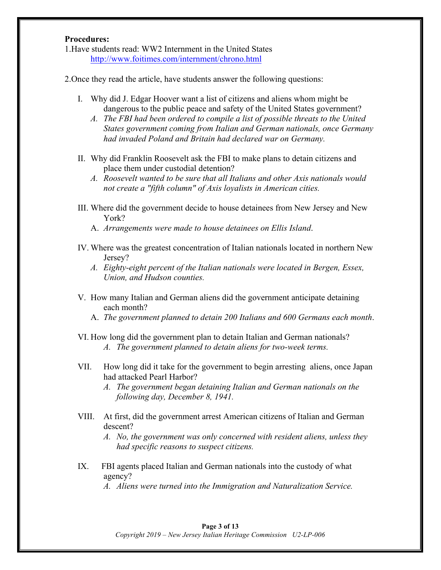#### **Procedures:**

1.Have students read: WW2 Internment in the United States http://www.foitimes.com/internment/chrono.html

2.Once they read the article, have students answer the following questions:

- I. Why did J. Edgar Hoover want a list of citizens and aliens whom might be dangerous to the public peace and safety of the United States government?
	- *A. The FBI had been ordered to compile a list of possible threats to the United States government coming from Italian and German nationals, once Germany had invaded Poland and Britain had declared war on Germany.*
- II. Why did Franklin Roosevelt ask the FBI to make plans to detain citizens and place them under custodial detention?
	- *A. Roosevelt wanted to be sure that all Italians and other Axis nationals would not create a "fifth column" of Axis loyalists in American cities.*
- III. Where did the government decide to house detainees from New Jersey and New York?
	- A. *Arrangements were made to house detainees on Ellis Island*.
- IV. Where was the greatest concentration of Italian nationals located in northern New Jersey?
	- *A. Eighty-eight percent of the Italian nationals were located in Bergen, Essex, Union, and Hudson counties.*
- V. How many Italian and German aliens did the government anticipate detaining each month?
	- A. *The government planned to detain 200 Italians and 600 Germans each month*.
- VI. How long did the government plan to detain Italian and German nationals? *A. The government planned to detain aliens for two-week terms.*
- VII. How long did it take for the government to begin arresting aliens, once Japan had attacked Pearl Harbor?
	- *A. The government began detaining Italian and German nationals on the following day, December 8, 1941.*
- VIII. At first, did the government arrest American citizens of Italian and German descent?

*A. No, the government was only concerned with resident aliens, unless they had specific reasons to suspect citizens.*

IX. FBI agents placed Italian and German nationals into the custody of what agency?

*A. Aliens were turned into the Immigration and Naturalization Service.*

## **Page 3 of 13**

*Copyright 2019 – New Jersey Italian Heritage Commission U2-LP-006*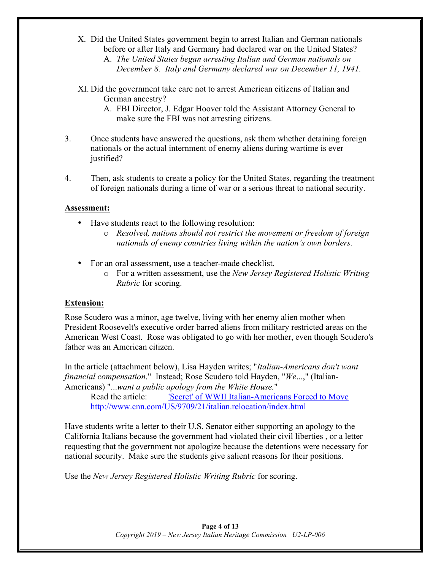- X. Did the United States government begin to arrest Italian and German nationals before or after Italy and Germany had declared war on the United States?
	- A. *The United States began arresting Italian and German nationals on December 8. Italy and Germany declared war on December 11, 1941.*
- XI. Did the government take care not to arrest American citizens of Italian and German ancestry?
	- A. FBI Director, J. Edgar Hoover told the Assistant Attorney General to make sure the FBI was not arresting citizens.
- 3. Once students have answered the questions, ask them whether detaining foreign nationals or the actual internment of enemy aliens during wartime is ever justified?
- 4. Then, ask students to create a policy for the United States, regarding the treatment of foreign nationals during a time of war or a serious threat to national security.

#### **Assessment:**

- Have students react to the following resolution:
	- o *Resolved, nations should not restrict the movement or freedom of foreign nationals of enemy countries living within the nation's own borders.*
- For an oral assessment, use a teacher-made checklist.
	- o For a written assessment, use the *New Jersey Registered Holistic Writing Rubric* for scoring.

#### **Extension:**

Rose Scudero was a minor, age twelve, living with her enemy alien mother when President Roosevelt's executive order barred aliens from military restricted areas on the American West Coast. Rose was obligated to go with her mother, even though Scudero's father was an American citizen.

In the article (attachment below), Lisa Hayden writes; "*Italian-Americans don't want financial compensation*." Instead; Rose Scudero told Hayden, "*We*...," (Italian-Americans) "...*want a public apology from the White House.*"

Read the article: 'Secret' of WWII Italian-Americans Forced to Move http://www.cnn.com/US/9709/21/italian.relocation/index.html

Have students write a letter to their U.S. Senator either supporting an apology to the California Italians because the government had violated their civil liberties , or a letter requesting that the government not apologize because the detentions were necessary for national security. Make sure the students give salient reasons for their positions.

Use the *New Jersey Registered Holistic Writing Rubric* for scoring.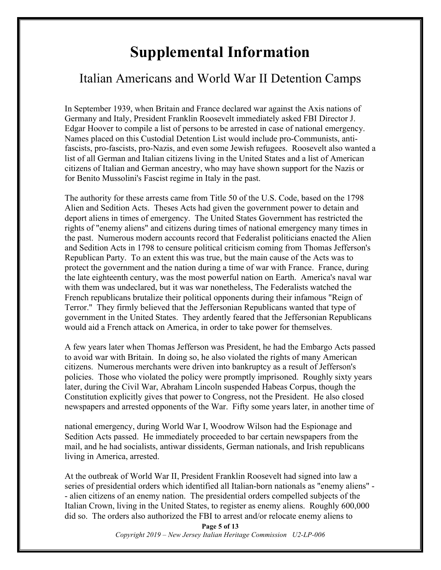## **Supplemental Information**

## Italian Americans and World War II Detention Camps

In September 1939, when Britain and France declared war against the Axis nations of Germany and Italy, President Franklin Roosevelt immediately asked FBI Director J. Edgar Hoover to compile a list of persons to be arrested in case of national emergency. Names placed on this Custodial Detention List would include pro-Communists, antifascists, pro-fascists, pro-Nazis, and even some Jewish refugees. Roosevelt also wanted a list of all German and Italian citizens living in the United States and a list of American citizens of Italian and German ancestry, who may have shown support for the Nazis or for Benito Mussolini's Fascist regime in Italy in the past.

The authority for these arrests came from Title 50 of the U.S. Code, based on the 1798 Alien and Sedition Acts. Theses Acts had given the government power to detain and deport aliens in times of emergency. The United States Government has restricted the rights of "enemy aliens" and citizens during times of national emergency many times in the past. Numerous modern accounts record that Federalist politicians enacted the Alien and Sedition Acts in 1798 to censure political criticism coming from Thomas Jefferson's Republican Party. To an extent this was true, but the main cause of the Acts was to protect the government and the nation during a time of war with France. France, during the late eighteenth century, was the most powerful nation on Earth. America's naval war with them was undeclared, but it was war nonetheless, The Federalists watched the French republicans brutalize their political opponents during their infamous "Reign of Terror." They firmly believed that the Jeffersonian Republicans wanted that type of government in the United States. They ardently feared that the Jeffersonian Republicans would aid a French attack on America, in order to take power for themselves.

A few years later when Thomas Jefferson was President, he had the Embargo Acts passed to avoid war with Britain. In doing so, he also violated the rights of many American citizens. Numerous merchants were driven into bankruptcy as a result of Jefferson's policies. Those who violated the policy were promptly imprisoned. Roughly sixty years later, during the Civil War, Abraham Lincoln suspended Habeas Corpus, though the Constitution explicitly gives that power to Congress, not the President. He also closed newspapers and arrested opponents of the War. Fifty some years later, in another time of

national emergency, during World War I, Woodrow Wilson had the Espionage and Sedition Acts passed. He immediately proceeded to bar certain newspapers from the mail, and he had socialists, antiwar dissidents, German nationals, and Irish republicans living in America, arrested.

At the outbreak of World War II, President Franklin Roosevelt had signed into law a series of presidential orders which identified all Italian-born nationals as "enemy aliens" - - alien citizens of an enemy nation. The presidential orders compelled subjects of the Italian Crown, living in the United States, to register as enemy aliens. Roughly 600,000 did so. The orders also authorized the FBI to arrest and/or relocate enemy aliens to

> **Page 5 of 13** *Copyright 2019 – New Jersey Italian Heritage Commission U2-LP-006*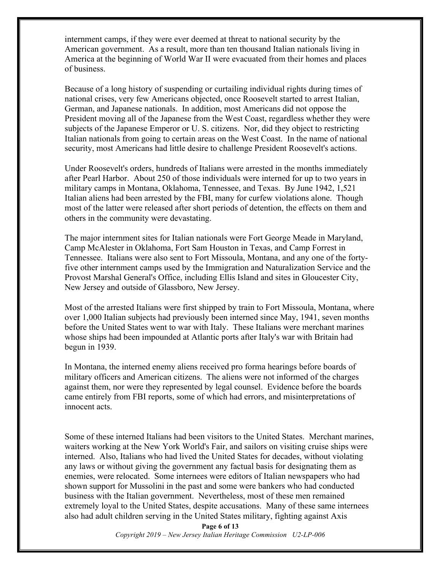internment camps, if they were ever deemed at threat to national security by the American government. As a result, more than ten thousand Italian nationals living in America at the beginning of World War II were evacuated from their homes and places of business.

Because of a long history of suspending or curtailing individual rights during times of national crises, very few Americans objected, once Roosevelt started to arrest Italian, German, and Japanese nationals. In addition, most Americans did not oppose the President moving all of the Japanese from the West Coast, regardless whether they were subjects of the Japanese Emperor or U. S. citizens. Nor, did they object to restricting Italian nationals from going to certain areas on the West Coast. In the name of national security, most Americans had little desire to challenge President Roosevelt's actions.

Under Roosevelt's orders, hundreds of Italians were arrested in the months immediately after Pearl Harbor. About 250 of those individuals were interned for up to two years in military camps in Montana, Oklahoma, Tennessee, and Texas. By June 1942, 1,521 Italian aliens had been arrested by the FBI, many for curfew violations alone. Though most of the latter were released after short periods of detention, the effects on them and others in the community were devastating.

The major internment sites for Italian nationals were Fort George Meade in Maryland, Camp McAlester in Oklahoma, Fort Sam Houston in Texas, and Camp Forrest in Tennessee. Italians were also sent to Fort Missoula, Montana, and any one of the fortyfive other internment camps used by the Immigration and Naturalization Service and the Provost Marshal General's Office, including Ellis Island and sites in Gloucester City, New Jersey and outside of Glassboro, New Jersey.

Most of the arrested Italians were first shipped by train to Fort Missoula, Montana, where over 1,000 Italian subjects had previously been interned since May, 1941, seven months before the United States went to war with Italy. These Italians were merchant marines whose ships had been impounded at Atlantic ports after Italy's war with Britain had begun in 1939.

In Montana, the interned enemy aliens received pro forma hearings before boards of military officers and American citizens. The aliens were not informed of the charges against them, nor were they represented by legal counsel. Evidence before the boards came entirely from FBI reports, some of which had errors, and misinterpretations of innocent acts.

Some of these interned Italians had been visitors to the United States. Merchant marines, waiters working at the New York World's Fair, and sailors on visiting cruise ships were interned. Also, Italians who had lived the United States for decades, without violating any laws or without giving the government any factual basis for designating them as enemies, were relocated. Some internees were editors of Italian newspapers who had shown support for Mussolini in the past and some were bankers who had conducted business with the Italian government. Nevertheless, most of these men remained extremely loyal to the United States, despite accusations. Many of these same internees also had adult children serving in the United States military, fighting against Axis

> **Page 6 of 13** *Copyright 2019 – New Jersey Italian Heritage Commission U2-LP-006*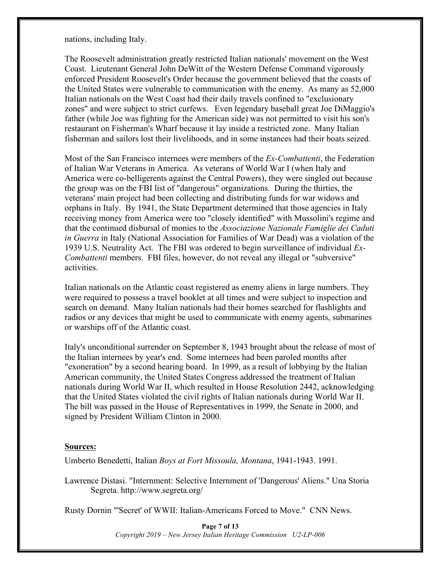nations, including Italy.

The Roosevelt administration greatly restricted Italian nationals' movement on the West Coast. Lieutenant General John DeWitt of the Western Defense Command vigorously enforced President Roosevelt's Order because the government believed that the coasts of the United States were vulnerable to communication with the enemy. As many as 52,000 Italian nationals on the West Coast had their daily travels confined to "exclusionary zones" and were subject to strict curfews. Even legendary baseball great Joe DiMaggio's father (while Joe was fighting for the American side) was not permitted to visit his son's restaurant on Fisherman's Wharf because it lay inside a restricted zone. Many Italian fisherman and sailors lost their livelihoods, and in some instances had their boats seized.

Most of the San Francisco internees were members of the *Ex-Combattenti*, the Federation of Italian War Veterans in America. As veterans of World War I (when Italy and America were co-belligerents against the Central Powers), they were singled out because the group was on the FBI list of "dangerous" organizations. During the thirties, the veterans' main project had been collecting and distributing funds for war widows and orphans in Italy. By 1941, the State Department determined that those agencies in Italy receiving money from America were too "closely identified" with Mussolini's regime and that the continued disbursal of monies to the *Associazione Nazionale Famiglie dei Caduti in Guerra* in Italy (National Association for Families of War Dead) was a violation of the 1939 U.S. Neutrality Act. The FBI was ordered to begin surveillance of individual *Ex-Combattenti* members. FBI files, however, do not reveal any illegal or "subversive" activities.

Italian nationals on the Atlantic coast registered as enemy aliens in large numbers. They were required to possess a travel booklet at all times and were subject to inspection and search on demand. Many Italian nationals had their homes searched for flashlights and radios or any devices that might be used to communicate with enemy agents, submarines or warships off of the Atlantic coast.

Italy's unconditional surrender on September 8, 1943 brought about the release of most of the Italian internees by year's end. Some internees had been paroled months after "exoneration" by a second hearing board. In 1999, as a result of lobbying by the Italian American community, the United States Congress addressed the treatment of Italian nationals during World War II, which resulted in House Resolution 2442, acknowledging that the United States violated the civil rights of Italian nationals during World War II. The bill was passed in the House of Representatives in 1999, the Senate in 2000, and signed by President William Clinton in 2000.

#### **Sources:**

Umberto Benedetti, Italian *Boys at Fort Missoula, Montana*, 1941-1943. 1991.

Lawrence Distasi. "Internment: Selective Internment of 'Dangerous' Aliens." Una Storia Segreta. http://www.segreta.org/

Rusty Dornin "'Secret' of WWII: Italian-Americans Forced to Move." CNN News.

**Page 7 of 13** *Copyright 2019 – New Jersey Italian Heritage Commission U2-LP-006*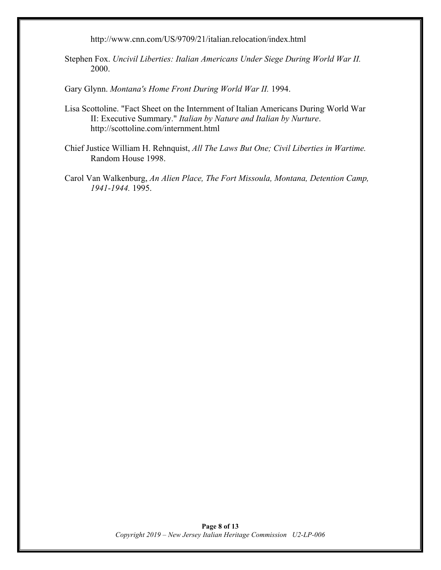http://www.cnn.com/US/9709/21/italian.relocation/index.html

Stephen Fox. *Uncivil Liberties: Italian Americans Under Siege During World War II.* 2000.

Gary Glynn. *Montana's Home Front During World War II.* 1994.

- Lisa Scottoline. "Fact Sheet on the Internment of Italian Americans During World War II: Executive Summary." *Italian by Nature and Italian by Nurture*. http://scottoline.com/internment.html
- Chief Justice William H. Rehnquist, *All The Laws But One; Civil Liberties in Wartime.* Random House 1998.
- Carol Van Walkenburg, *An Alien Place, The Fort Missoula, Montana, Detention Camp, 1941-1944.* 1995.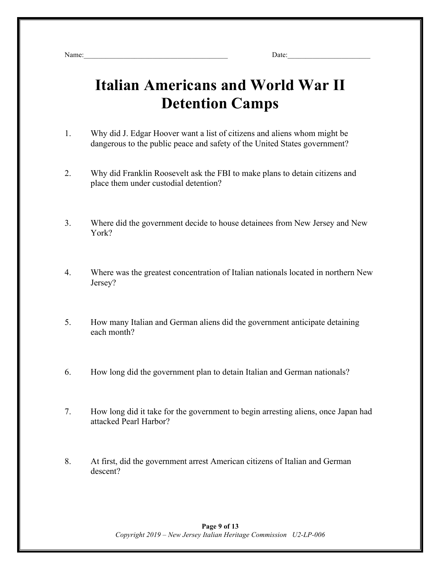Name:\_\_\_\_\_\_\_\_\_\_\_\_\_\_\_\_\_\_\_\_\_\_\_\_\_\_\_\_\_\_\_\_\_\_\_\_\_\_\_\_ Date:\_\_\_\_\_\_\_\_\_\_\_\_\_\_\_\_\_\_\_\_\_\_\_

# **Italian Americans and World War II Detention Camps**

- 1. Why did J. Edgar Hoover want a list of citizens and aliens whom might be dangerous to the public peace and safety of the United States government?
- 2. Why did Franklin Roosevelt ask the FBI to make plans to detain citizens and place them under custodial detention?
- 3. Where did the government decide to house detainees from New Jersey and New York?
- 4. Where was the greatest concentration of Italian nationals located in northern New Jersey?
- 5. How many Italian and German aliens did the government anticipate detaining each month?
- 6. How long did the government plan to detain Italian and German nationals?
- 7. How long did it take for the government to begin arresting aliens, once Japan had attacked Pearl Harbor?
- 8. At first, did the government arrest American citizens of Italian and German descent?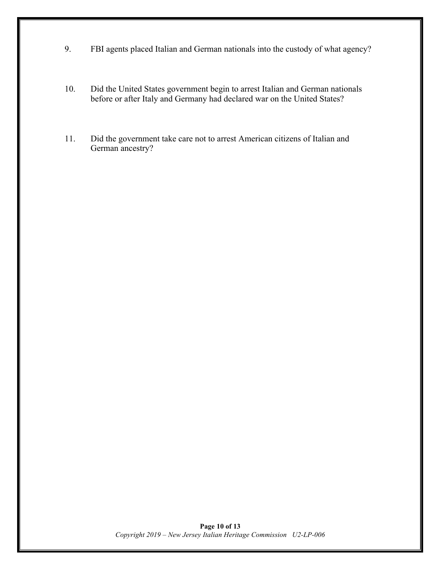- 9. FBI agents placed Italian and German nationals into the custody of what agency?
- 10. Did the United States government begin to arrest Italian and German nationals before or after Italy and Germany had declared war on the United States?
- 11. Did the government take care not to arrest American citizens of Italian and German ancestry?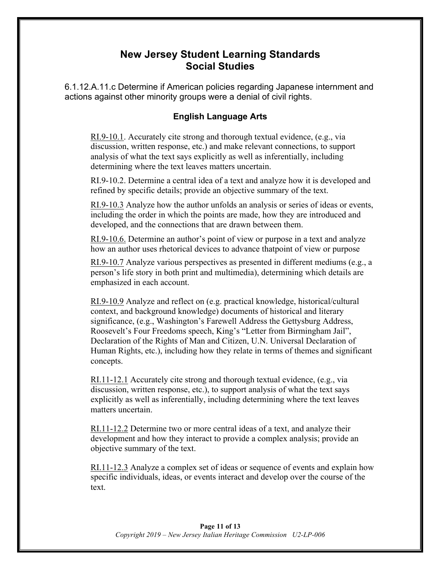### **New Jersey Student Learning Standards Social Studies**

6.1.12.A.11.c Determine if American policies regarding Japanese internment and actions against other minority groups were a denial of civil rights.

#### **English Language Arts**

RI.9-10.1. Accurately cite strong and thorough textual evidence, (e.g., via discussion, written response, etc.) and make relevant connections, to support analysis of what the text says explicitly as well as inferentially, including determining where the text leaves matters uncertain.

RI.9-10.2. Determine a central idea of a text and analyze how it is developed and refined by specific details; provide an objective summary of the text.

RI.9-10.3 Analyze how the author unfolds an analysis or series of ideas or events, including the order in which the points are made, how they are introduced and developed, and the connections that are drawn between them.

RI.9-10.6. Determine an author's point of view or purpose in a text and analyze how an author uses rhetorical devices to advance thatpoint of view or purpose

RI.9-10.7 Analyze various perspectives as presented in different mediums (e.g., a person's life story in both print and multimedia), determining which details are emphasized in each account.

RI.9-10.9 Analyze and reflect on (e.g. practical knowledge, historical/cultural context, and background knowledge) documents of historical and literary significance, (e.g., Washington's Farewell Address the Gettysburg Address, Roosevelt's Four Freedoms speech, King's "Letter from Birmingham Jail", Declaration of the Rights of Man and Citizen, U.N. Universal Declaration of Human Rights, etc.), including how they relate in terms of themes and significant concepts.

RI.11-12.1 Accurately cite strong and thorough textual evidence, (e.g., via discussion, written response, etc.), to support analysis of what the text says explicitly as well as inferentially, including determining where the text leaves matters uncertain.

RI.11-12.2 Determine two or more central ideas of a text, and analyze their development and how they interact to provide a complex analysis; provide an objective summary of the text.

RI.11-12.3 Analyze a complex set of ideas or sequence of events and explain how specific individuals, ideas, or events interact and develop over the course of the text.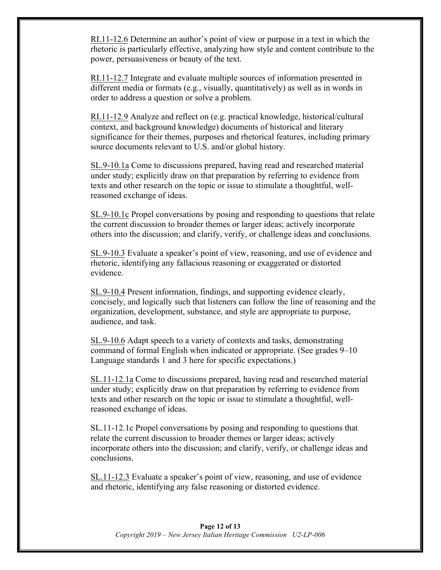RI.11-12.6 Determine an author's point of view or purpose in a text in which the rhetoric is particularly effective, analyzing how style and content contribute to the power, persuasiveness or beauty of the text.

RI.11-12.7 Integrate and evaluate multiple sources of information presented in different media or formats (e.g., visually, quantitatively) as well as in words in order to address a question or solve a problem.

RI.11-12.9 Analyze and reflect on (e.g. practical knowledge, historical/cultural context, and background knowledge) documents of historical and literary significance for their themes, purposes and rhetorical features, including primary source documents relevant to U.S. and/or global history.

SL.9-10.1a Come to discussions prepared, having read and researched material under study; explicitly draw on that preparation by referring to evidence from texts and other research on the topic or issue to stimulate a thoughtful, wellreasoned exchange of ideas.

SL.9-10.1c Propel conversations by posing and responding to questions that relate the current discussion to broader themes or larger ideas; actively incorporate others into the discussion; and clarify, verify, or challenge ideas and conclusions.

SL.9-10.3 Evaluate a speaker's point of view, reasoning, and use of evidence and rhetoric, identifying any fallacious reasoning or exaggerated or distorted evidence.

SL.9-10.4 Present information, findings, and supporting evidence clearly, concisely, and logically such that listeners can follow the line of reasoning and the organization, development, substance, and style are appropriate to purpose, audience, and task.

SL.9-10.6 Adapt speech to a variety of contexts and tasks, demonstrating command of formal English when indicated or appropriate. (See grades 9–10 Language standards 1 and 3 here for specific expectations.)

SL.11-12.1a Come to discussions prepared, having read and researched material under study; explicitly draw on that preparation by referring to evidence from texts and other research on the topic or issue to stimulate a thoughtful, wellreasoned exchange of ideas.

SL.11-12.1c Propel conversations by posing and responding to questions that relate the current discussion to broader themes or larger ideas; actively incorporate others into the discussion; and clarify, verify, or challenge ideas and conclusions.

SL.11-12.3 Evaluate a speaker's point of view, reasoning, and use of evidence and rhetoric, identifying any false reasoning or distorted evidence.